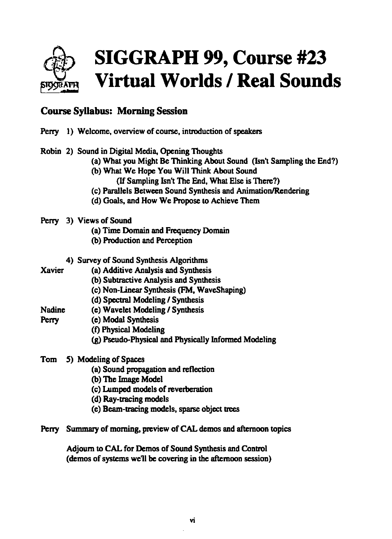

## **Course Syllabus: Morning Session**

|                 |                                                                     | Perry 1) Welcome, overview of course, introduction of speakers                                                                                                                                                                                                                                                                                 |  |  |  |
|-----------------|---------------------------------------------------------------------|------------------------------------------------------------------------------------------------------------------------------------------------------------------------------------------------------------------------------------------------------------------------------------------------------------------------------------------------|--|--|--|
|                 |                                                                     | Robin 2) Sound in Digital Media, Opening Thoughts<br>(a) What you Might Be Thinking About Sound (Isn't Sampling the End?)<br>(b) What We Hope You Will Think About Sound<br>(If Sampling Isn't The End, What Else is There?)<br>(c) Parallels Between Sound Synthesis and Animation/Rendering<br>(d) Goals, and How We Propose to Achieve Them |  |  |  |
|                 |                                                                     | Perry 3) Views of Sound<br>(a) Time Domain and Frequency Domain<br>(b) Production and Perception                                                                                                                                                                                                                                               |  |  |  |
| <b>Xavier</b>   |                                                                     | 4) Survey of Sound Synthesis Algorithms<br>(a) Additive Analysis and Synthesis<br>(b) Subtractive Analysis and Synthesis<br>(c) Non-Linear Synthesis (FM, WaveShaping)<br>(d) Spectral Modeling / Synthesis                                                                                                                                    |  |  |  |
| Nadine<br>Perry |                                                                     | (e) Wavelet Modeling / Synthesis<br>(e) Modal Synthesis<br>(f) Physical Modeling<br>(g) Pseudo-Physical and Physically Informed Modeling                                                                                                                                                                                                       |  |  |  |
| Tom             |                                                                     | 5) Modeling of Spaces<br>(a) Sound propagation and reflection<br>(b) The Image Model<br>(c) Lumped models of reverberation<br>(d) Ray-tracing models<br>(e) Beam-tracing models, sparse object trees                                                                                                                                           |  |  |  |
|                 | Perry Summary of morning, preview of CAL demos and afternoon topics |                                                                                                                                                                                                                                                                                                                                                |  |  |  |
|                 |                                                                     | Adjourn to CAL for Demos of Sound Synthesis and Control                                                                                                                                                                                                                                                                                        |  |  |  |

{demos of systems we11 be covering in the afternoon session)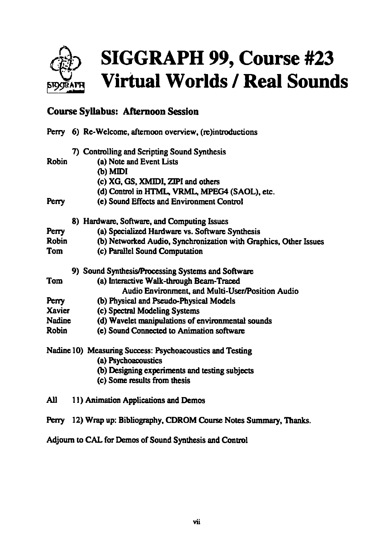

## Course Syllabus: Afternoon Session

|               | Perry 6) Re-Welcome, afternoon overview, (re)introductions           |
|---------------|----------------------------------------------------------------------|
|               | 7) Controlling and Scripting Sound Synthesis                         |
| <b>Robin</b>  | (a) Note and Event Lists<br>(b) MIDI                                 |
|               | (c) XG, GS, XMIDI, ZIPI and others                                   |
|               | (d) Control in HTML, VRML, MPEG4 (SAOL), etc.                        |
| Perry         | (e) Sound Effects and Environment Control                            |
|               | 8) Hardware, Software, and Computing Issues                          |
| Perry         | (a) Specialized Hardware vs. Software Synthesis                      |
| <b>Robin</b>  | (b) Networked Audio, Synchronization with Graphics, Other Issues     |
| Tom           | (c) Parallel Sound Computation                                       |
|               | 9) Sound Synthesis/Processing Systems and Software                   |
| Tom           | (a) Interactive Walk-through Beam-Traced                             |
|               | Audio Environment, and Multi-User/Position Audio                     |
| Perry         | (b) Physical and Pseudo-Physical Models                              |
| Xavier        | (c) Spectral Modeling Systems                                        |
| <b>Nadine</b> | (d) Wavelet manipulations of environmental sounds                    |
| Robin         | (e) Sound Connected to Animation software                            |
|               | Nadine 10) Measuring Success: Psychoacoustics and Testing            |
|               | (a) Psychoacoustics                                                  |
|               | (b) Designing experiments and testing subjects                       |
|               | (c) Some results from thesis                                         |
| All           | 11) Animation Applications and Demos                                 |
|               | Perry 12) Wrap up: Bibliography, CDROM Course Notes Summary, Thanks. |

Adjourn to CAL for Demos of Sound Synthesis and Control